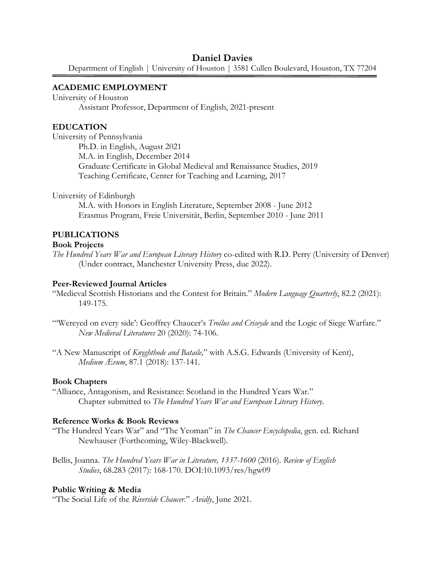## **Daniel Davies**

Department of English | University of Houston | 3581 Cullen Boulevard, Houston, TX 77204

#### **ACADEMIC EMPLOYMENT**

University of Houston

Assistant Professor, Department of English, 2021-present

#### **EDUCATION**

University of Pennsylvania Ph.D. in English, August 2021 M.A. in English, December 2014 Graduate Certificate in Global Medieval and Renaissance Studies, 2019 Teaching Certificate, Center for Teaching and Learning, 2017

University of Edinburgh

M.A. with Honors in English Literature, September 2008 - June 2012 Erasmus Program, Freie Universität, Berlin, September 2010 - June 2011

#### **PUBLICATIONS**

#### **Book Projects**

*The Hundred Years War and European Literary History* co-edited with R.D. Perry (University of Denver) (Under contract, Manchester University Press, due 2022).

### **Peer-Reviewed Journal Articles**

"Medieval Scottish Historians and the Contest for Britain." *Modern Language Quarterly*, 82.2 (2021): 149-175*.*

- "'Wereyed on every side': Geoffrey Chaucer's *Troilus and Criseyde* and the Logic of Siege Warfare." *New Medieval Literatures* 20 (2020): 74-106.
- "A New Manuscript of *Knyghthode and Bataile,*" with A.S.G. Edwards (University of Kent), *Medium Ævum*, 87.1 (2018): 137-141*.*

#### **Book Chapters**

"Alliance, Antagonism, and Resistance: Scotland in the Hundred Years War." Chapter submitted to *The Hundred Years War and European Literary History*.

### **Reference Works & Book Reviews**

- "The Hundred Years War" and "The Yeoman" in *The Chaucer Encyclopedia*, gen. ed. Richard Newhauser (Forthcoming, Wiley-Blackwell).
- Bellis, Joanna. *The Hundred Years War in Literature, 1337-1600* (2016). *Review of English Studies*, 68.283 (2017): 168-170. DOI:10.1093/res/hgw09

#### **Public Writing & Media**

"The Social Life of the *Riverside Chaucer*." *Avidly*, June 2021.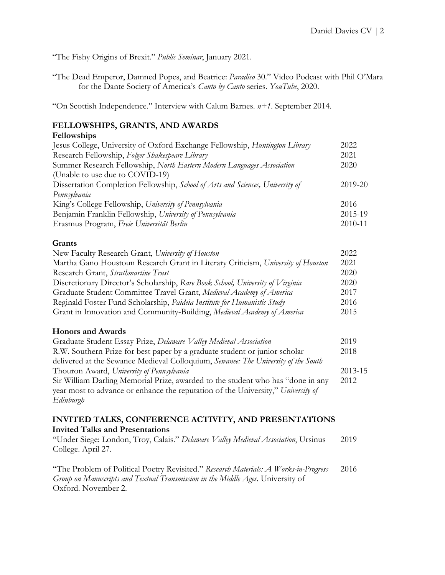"The Fishy Origins of Brexit." *Public Seminar*, January 2021.

"The Dead Emperor, Damned Popes, and Beatrice: *Paradiso* 30." Video Podcast with Phil O'Mara for the Dante Society of America's *Canto by Canto* series. *YouTube*, 2020.

"On Scottish Independence." Interview with Calum Barnes. *n+1*. September 2014.

# **FELLOWSHIPS, GRANTS, AND AWARDS**

## **Fellowships**

| Jesus College, University of Oxford Exchange Fellowship, Huntington Library    | 2022    |
|--------------------------------------------------------------------------------|---------|
| Research Fellowship, Folger Shakespeare Library                                | 2021    |
| Summer Research Fellowship, North Eastern Modern Languages Association         | 2020    |
| (Unable to use due to COVID-19)                                                |         |
| Dissertation Completion Fellowship, School of Arts and Sciences, University of | 2019-20 |
| Pennsylvania                                                                   |         |
| King's College Fellowship, University of Pennsylvania                          | 2016    |
| Benjamin Franklin Fellowship, University of Pennsylvania                       | 2015-19 |
| Erasmus Program, Freie Universität Berlin                                      | 2010-11 |

## **Grants**

| New Faculty Research Grant, University of Houston                                | 2022 |
|----------------------------------------------------------------------------------|------|
| Martha Gano Houstoun Research Grant in Literary Criticism, University of Houston | 2021 |
| Research Grant, Strathmartine Trust                                              | 2020 |
| Discretionary Director's Scholarship, Rare Book School, University of Virginia   | 2020 |
| Graduate Student Committee Travel Grant, Medieval Academy of America             | 2017 |
| Reginald Foster Fund Scholarship, <i>Paideia Institute for Humanistic Study</i>  | 2016 |
| Grant in Innovation and Community-Building, Medieval Academy of America          | 2015 |

## **Honors and Awards**

| Graduate Student Essay Prize, Delaware Valley Medieval Association                 | 2019    |
|------------------------------------------------------------------------------------|---------|
| R.W. Southern Prize for best paper by a graduate student or junior scholar         | 2018    |
| delivered at the Sewanee Medieval Colloquium, Sewanee: The University of the South |         |
| Thouron Award, University of Pennsylvania                                          | 2013-15 |
| Sir William Darling Memorial Prize, awarded to the student who has "done in any    | 2012    |
| year most to advance or enhance the reputation of the University," University of   |         |
| Edinburgh                                                                          |         |

#### **INVITED TALKS, CONFERENCE ACTIVITY, AND PRESENTATIONS Invited Talks and Presentations**

"Under Siege: London, Troy, Calais." *Delaware Valley Medieval Association*, Ursinus College. April 27. 2019

"The Problem of Political Poetry Revisited." *Research Materials: A Works-in-Progress Group on Manuscripts and Textual Transmission in the Middle Ages*. University of Oxford. November 2. 2016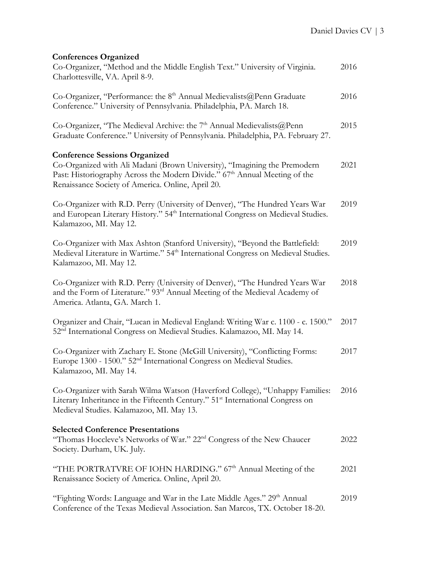# **Conferences Organized**

| Co-Organizer, "Method and the Middle English Text." University of Virginia.<br>Charlottesville, VA. April 8-9.                                                                                                                                       | 2016 |
|------------------------------------------------------------------------------------------------------------------------------------------------------------------------------------------------------------------------------------------------------|------|
| Co-Organizer, "Performance: the $8th$ Annual Medievalists @ Penn Graduate<br>Conference." University of Pennsylvania. Philadelphia, PA. March 18.                                                                                                    | 2016 |
| Co-Organizer, "The Medieval Archive: the 7 <sup>th</sup> Annual Medievalists@Penn<br>Graduate Conference." University of Pennsylvania. Philadelphia, PA. February 27.                                                                                | 2015 |
| <b>Conference Sessions Organized</b><br>Co-Organized with Ali Madani (Brown University), "Imagining the Premodern<br>Past: Historiography Across the Modern Divide." 67th Annual Meeting of the<br>Renaissance Society of America. Online, April 20. | 2021 |
| Co-Organizer with R.D. Perry (University of Denver), "The Hundred Years War<br>and European Literary History." 54 <sup>th</sup> International Congress on Medieval Studies.<br>Kalamazoo, MI. May 12.                                                | 2019 |
| Co-Organizer with Max Ashton (Stanford University), "Beyond the Battlefield:<br>Medieval Literature in Wartime." 54 <sup>th</sup> International Congress on Medieval Studies.<br>Kalamazoo, MI. May 12.                                              | 2019 |
| Co-Organizer with R.D. Perry (University of Denver), "The Hundred Years War<br>and the Form of Literature." 93 <sup>rd</sup> Annual Meeting of the Medieval Academy of<br>America. Atlanta, GA. March 1.                                             | 2018 |
| Organizer and Chair, "Lucan in Medieval England: Writing War c. 1100 - c. 1500."<br>52 <sup>nd</sup> International Congress on Medieval Studies. Kalamazoo, MI. May 14.                                                                              | 2017 |
| Co-Organizer with Zachary E. Stone (McGill University), "Conflicting Forms:<br>Europe 1300 - 1500." 52 <sup>nd</sup> International Congress on Medieval Studies.<br>Kalamazoo, MI. May 14.                                                           | 2017 |
| Co-Organizer with Sarah Wilma Watson (Haverford College), "Unhappy Families:<br>Literary Inheritance in the Fifteenth Century." 51 <sup>st</sup> International Congress on<br>Medieval Studies. Kalamazoo, MI. May 13.                               | 2016 |
| <b>Selected Conference Presentations</b><br>"Thomas Hoccleve's Networks of War." 22 <sup>nd</sup> Congress of the New Chaucer<br>Society. Durham, UK. July.                                                                                          | 2022 |
| "THE PORTRATVRE OF IOHN HARDING." 67th Annual Meeting of the<br>Renaissance Society of America. Online, April 20.                                                                                                                                    | 2021 |
| "Fighting Words: Language and War in the Late Middle Ages." 29 <sup>th</sup> Annual<br>Conference of the Texas Medieval Association. San Marcos, TX. October 18-20.                                                                                  | 2019 |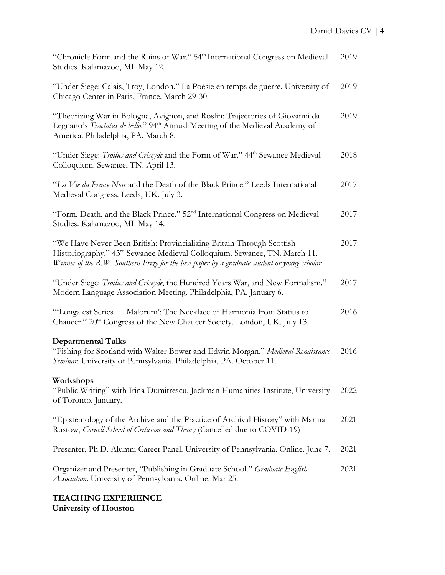| "Chronicle Form and the Ruins of War." 54 <sup>th</sup> International Congress on Medieval<br>Studies. Kalamazoo, MI. May 12.                                                                                                                                  | 2019 |
|----------------------------------------------------------------------------------------------------------------------------------------------------------------------------------------------------------------------------------------------------------------|------|
| "Under Siege: Calais, Troy, London." La Poésie en temps de guerre. University of<br>Chicago Center in Paris, France. March 29-30.                                                                                                                              | 2019 |
| "Theorizing War in Bologna, Avignon, and Roslin: Trajectories of Giovanni da<br>Legnano's Tractatus de bello." 94 <sup>th</sup> Annual Meeting of the Medieval Academy of<br>America. Philadelphia, PA. March 8.                                               | 2019 |
| "Under Siege: Troilus and Criseyde and the Form of War." 44 <sup>th</sup> Sewanee Medieval<br>Colloquium. Sewanee, TN. April 13.                                                                                                                               | 2018 |
| "La Vie du Prince Noir and the Death of the Black Prince." Leeds International<br>Medieval Congress. Leeds, UK. July 3.                                                                                                                                        | 2017 |
| "Form, Death, and the Black Prince." 52 <sup>nd</sup> International Congress on Medieval<br>Studies. Kalamazoo, MI. May 14.                                                                                                                                    | 2017 |
| "We Have Never Been British: Provincializing Britain Through Scottish<br>Historiography." 43 <sup>rd</sup> Sewanee Medieval Colloquium. Sewanee, TN. March 11.<br>Winner of the R.W. Southern Prize for the best paper by a graduate student or young scholar. | 2017 |
| "Under Siege: Troilus and Criseyde, the Hundred Years War, and New Formalism."<br>Modern Language Association Meeting. Philadelphia, PA. January 6.                                                                                                            | 2017 |
| "Longa est Series  Malorum': The Necklace of Harmonia from Statius to<br>Chaucer." 20 <sup>th</sup> Congress of the New Chaucer Society. London, UK. July 13.                                                                                                  | 2016 |
| <b>Departmental Talks</b><br>"Fishing for Scotland with Walter Bower and Edwin Morgan." Medieval-Renaissance<br>Seminar. University of Pennsylvania. Philadelphia, PA. October 11.                                                                             | 2016 |
| Workshops<br>"Public Writing" with Irina Dumitrescu, Jackman Humanities Institute, University<br>of Toronto. January.                                                                                                                                          | 2022 |
| "Epistemology of the Archive and the Practice of Archival History" with Marina<br>Rustow, Cornell School of Criticism and Theory (Cancelled due to COVID-19)                                                                                                   | 2021 |
| Presenter, Ph.D. Alumni Career Panel. University of Pennsylvania. Online. June 7.                                                                                                                                                                              | 2021 |
| Organizer and Presenter, "Publishing in Graduate School." Graduate English<br>Association. University of Pennsylvania. Online. Mar 25.                                                                                                                         | 2021 |

# **TEACHING EXPERIENCE University of Houston**